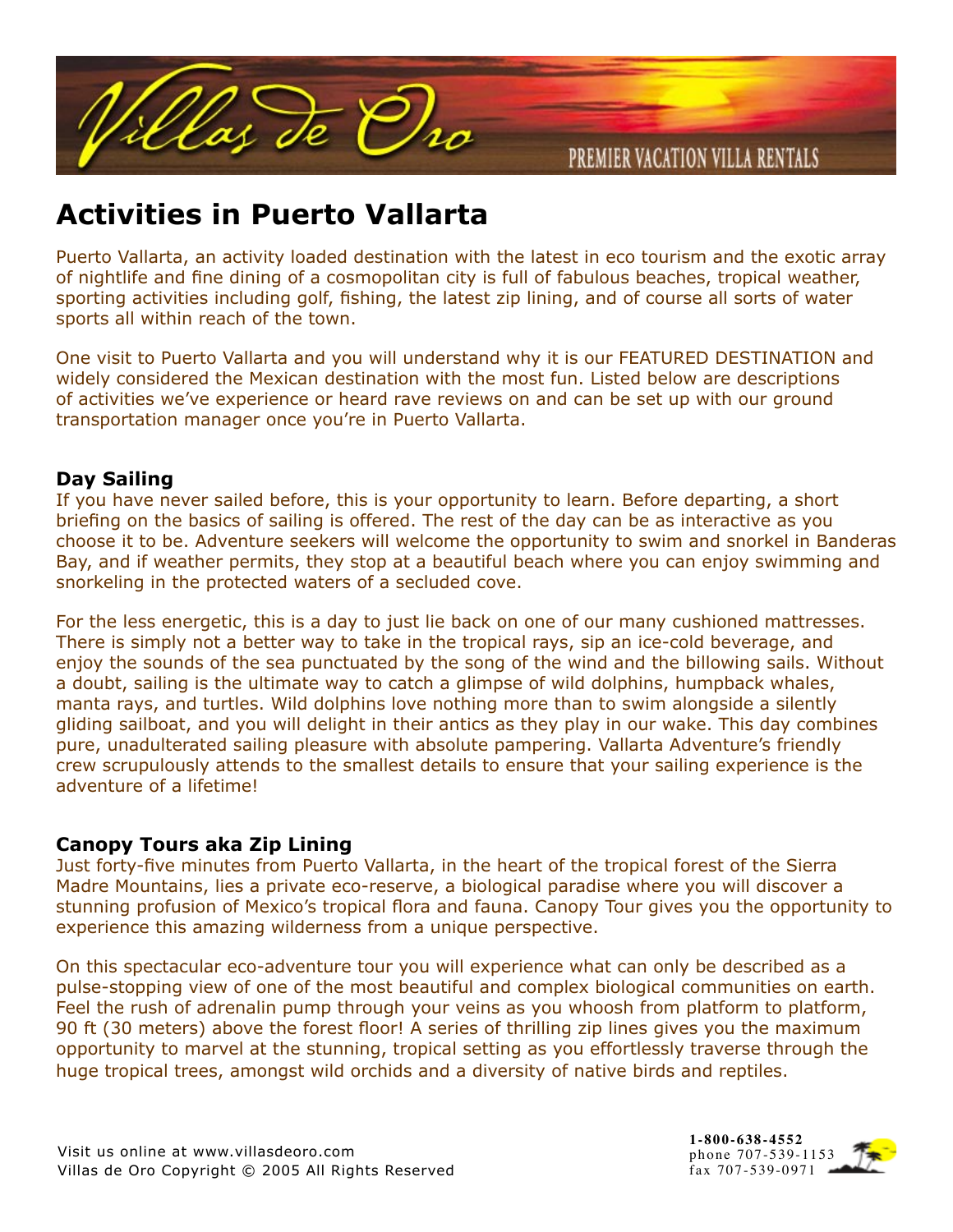

# **Activities in Puerto Vallarta**

Puerto Vallarta, an activity loaded destination with the latest in eco tourism and the exotic array of nightlife and fine dining of a cosmopolitan city is full of fabulous beaches, tropical weather, sporting activities including golf, fishing, the latest zip lining, and of course all sorts of water sports all within reach of the town.

One visit to Puerto Vallarta and you will understand why it is our FEATURED DESTINATION and widely considered the Mexican destination with the most fun. Listed below are descriptions of activities we've experience or heard rave reviews on and can be set up with our ground transportation manager once you're in Puerto Vallarta.

## **Day Sailing**

If you have never sailed before, this is your opportunity to learn. Before departing, a short briefing on the basics of sailing is offered. The rest of the day can be as interactive as you choose it to be. Adventure seekers will welcome the opportunity to swim and snorkel in Banderas Bay, and if weather permits, they stop at a beautiful beach where you can enjoy swimming and snorkeling in the protected waters of a secluded cove.

For the less energetic, this is a day to just lie back on one of our many cushioned mattresses. There is simply not a better way to take in the tropical rays, sip an ice-cold beverage, and enjoy the sounds of the sea punctuated by the song of the wind and the billowing sails. Without a doubt, sailing is the ultimate way to catch a glimpse of wild dolphins, humpback whales, manta rays, and turtles. Wild dolphins love nothing more than to swim alongside a silently gliding sailboat, and you will delight in their antics as they play in our wake. This day combines pure, unadulterated sailing pleasure with absolute pampering. Vallarta Adventure's friendly crew scrupulously attends to the smallest details to ensure that your sailing experience is the adventure of a lifetime!

## **Canopy Tours aka Zip Lining**

Just forty-five minutes from Puerto Vallarta, in the heart of the tropical forest of the Sierra Madre Mountains, lies a private eco-reserve, a biological paradise where you will discover a stunning profusion of Mexico's tropical flora and fauna. Canopy Tour gives you the opportunity to experience this amazing wilderness from a unique perspective.

On this spectacular eco-adventure tour you will experience what can only be described as a pulse-stopping view of one of the most beautiful and complex biological communities on earth. Feel the rush of adrenalin pump through your veins as you whoosh from platform to platform, 90 ft (30 meters) above the forest floor! A series of thrilling zip lines gives you the maximum opportunity to marvel at the stunning, tropical setting as you effortlessly traverse through the huge tropical trees, amongst wild orchids and a diversity of native birds and reptiles.

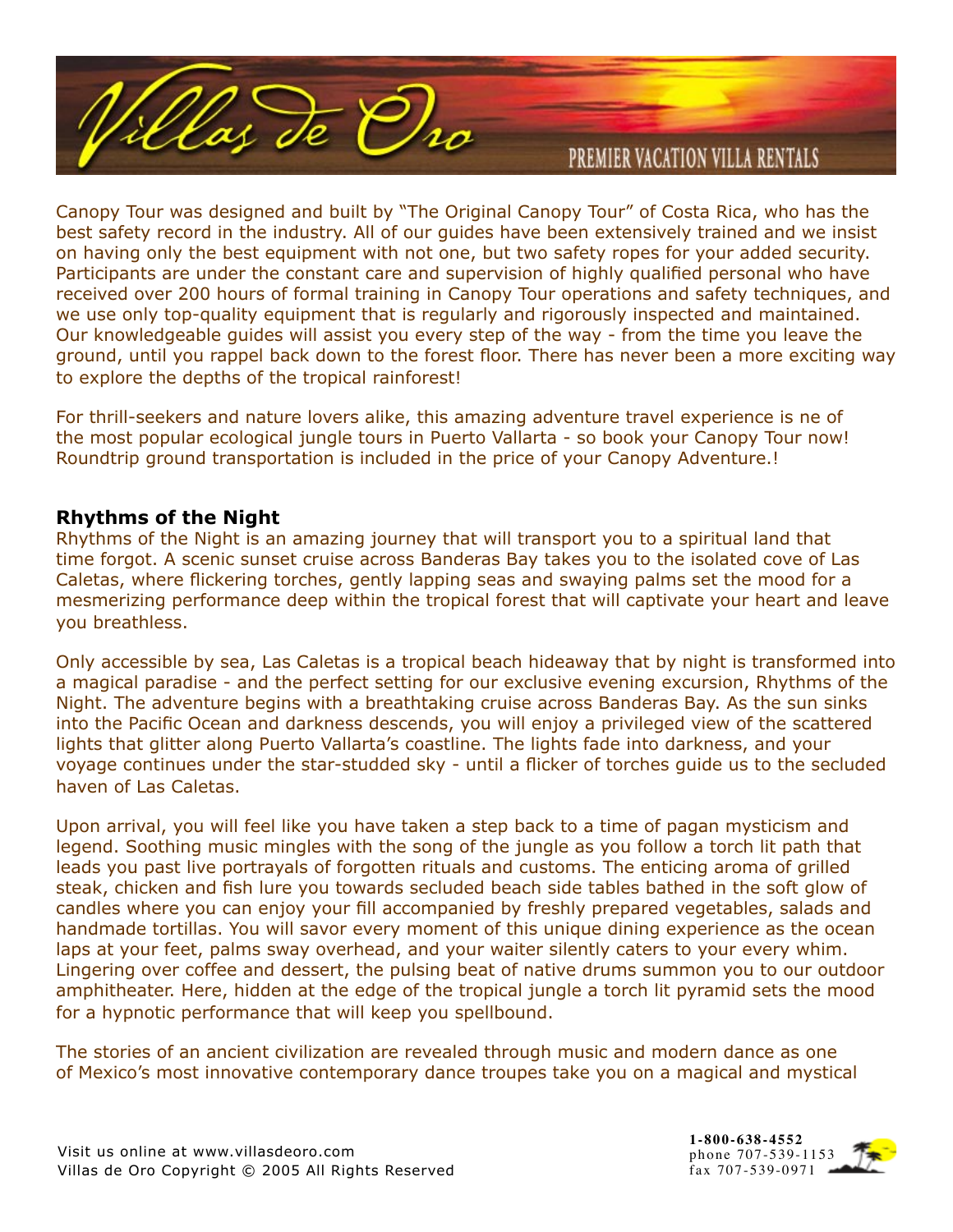

Canopy Tour was designed and built by "The Original Canopy Tour" of Costa Rica, who has the best safety record in the industry. All of our guides have been extensively trained and we insist on having only the best equipment with not one, but two safety ropes for your added security. Participants are under the constant care and supervision of highly qualified personal who have received over 200 hours of formal training in Canopy Tour operations and safety techniques, and we use only top-quality equipment that is regularly and rigorously inspected and maintained. Our knowledgeable guides will assist you every step of the way - from the time you leave the ground, until you rappel back down to the forest floor. There has never been a more exciting way to explore the depths of the tropical rainforest!

For thrill-seekers and nature lovers alike, this amazing adventure travel experience is ne of the most popular ecological jungle tours in Puerto Vallarta - so book your Canopy Tour now! Roundtrip ground transportation is included in the price of your Canopy Adventure.!

### **Rhythms of the Night**

Rhythms of the Night is an amazing journey that will transport you to a spiritual land that time forgot. A scenic sunset cruise across Banderas Bay takes you to the isolated cove of Las Caletas, where flickering torches, gently lapping seas and swaying palms set the mood for a mesmerizing performance deep within the tropical forest that will captivate your heart and leave you breathless.

Only accessible by sea, Las Caletas is a tropical beach hideaway that by night is transformed into a magical paradise - and the perfect setting for our exclusive evening excursion, Rhythms of the Night. The adventure begins with a breathtaking cruise across Banderas Bay. As the sun sinks into the Pacific Ocean and darkness descends, you will enjoy a privileged view of the scattered lights that glitter along Puerto Vallarta's coastline. The lights fade into darkness, and your voyage continues under the star-studded sky - until a flicker of torches guide us to the secluded haven of Las Caletas.

Upon arrival, you will feel like you have taken a step back to a time of pagan mysticism and legend. Soothing music mingles with the song of the jungle as you follow a torch lit path that leads you past live portrayals of forgotten rituals and customs. The enticing aroma of grilled steak, chicken and fish lure you towards secluded beach side tables bathed in the soft glow of candles where you can enjoy your fill accompanied by freshly prepared vegetables, salads and handmade tortillas. You will savor every moment of this unique dining experience as the ocean laps at your feet, palms sway overhead, and your waiter silently caters to your every whim. Lingering over coffee and dessert, the pulsing beat of native drums summon you to our outdoor amphitheater. Here, hidden at the edge of the tropical jungle a torch lit pyramid sets the mood for a hypnotic performance that will keep you spellbound.

The stories of an ancient civilization are revealed through music and modern dance as one of Mexico's most innovative contemporary dance troupes take you on a magical and mystical